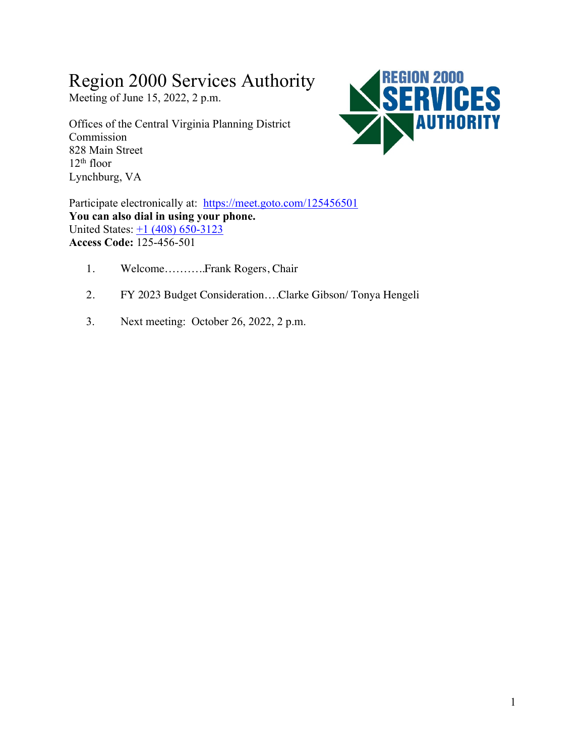# Region 2000 Services Authority

Meeting of June 15, 2022, 2 p.m.

Offices of the Central Virginia Planning District Commission 828 Main Street  $12<sup>th</sup>$  floor Lynchburg, VA



Participate electronically at: https://meet.goto.com/125456501 **You can also dial in using your phone.** United States:  $\pm 1$  (408) 650-3123 **Access Code:** 125-456-501

- 1. Welcome………..Frank Rogers, Chair
- 2. FY 2023 Budget Consideration….Clarke Gibson/ Tonya Hengeli
- 3. Next meeting: October 26, 2022, 2 p.m.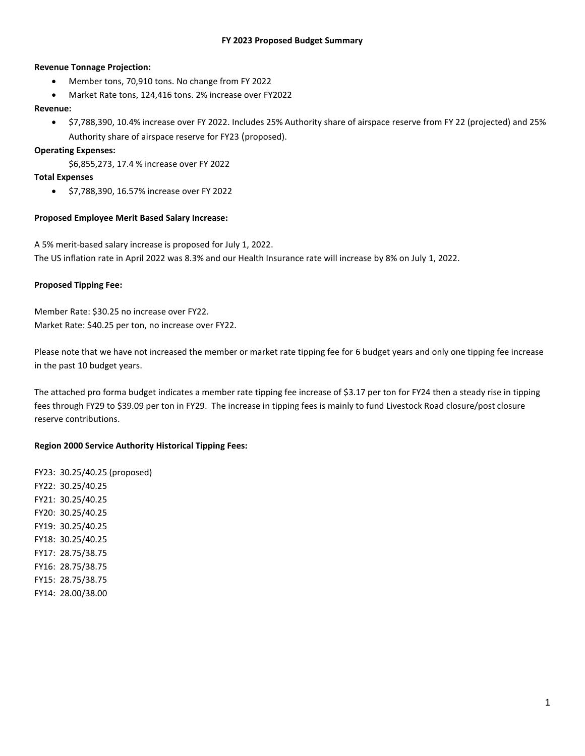### **FY 2023 Proposed Budget Summary**

### **Revenue Tonnage Projection:**

- Member tons, 70,910 tons. No change from FY 2022
- Market Rate tons, 124,416 tons. 2% increase over FY2022

### **Revenue:**

• \$7,788,390, 10.4% increase over FY 2022. Includes 25% Authority share of airspace reserve from FY 22 (projected) and 25% Authority share of airspace reserve for FY23 (proposed).

## **Operating Expenses:**

\$6,855,273, 17.4 % increase over FY 2022

### **Total Expenses**

• \$7,788,390, 16.57% increase over FY 2022

## **Proposed Employee Merit Based Salary Increase:**

A 5% merit-based salary increase is proposed for July 1, 2022. The US inflation rate in April 2022 was 8.3% and our Health Insurance rate will increase by 8% on July 1, 2022.

## **Proposed Tipping Fee:**

Member Rate: \$30.25 no increase over FY22. Market Rate: \$40.25 per ton, no increase over FY22.

Please note that we have not increased the member or market rate tipping fee for 6 budget years and only one tipping fee increase in the past 10 budget years.

The attached pro forma budget indicates a member rate tipping fee increase of \$3.17 per ton for FY24 then a steady rise in tipping fees through FY29 to \$39.09 per ton in FY29. The increase in tipping fees is mainly to fund Livestock Road closure/post closure reserve contributions.

### **Region 2000 Service Authority Historical Tipping Fees:**

FY23: 30.25/40.25 (proposed) FY22: 30.25/40.25 FY21: 30.25/40.25 FY20: 30.25/40.25 FY19: 30.25/40.25 FY18: 30.25/40.25 FY17: 28.75/38.75 FY16: 28.75/38.75 FY15: 28.75/38.75 FY14: 28.00/38.00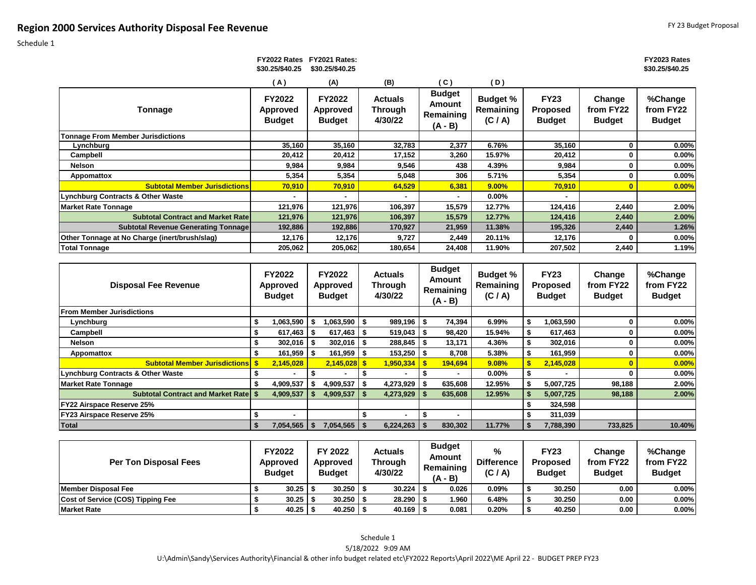Schedule 1

#### **FY2023 Rates \$30.25/\$40.25**

|                                               | \$30.25/\$40.25                                   | \$30.25/\$40.25                            |                                             |                                                   |                                         |                                                 |                                      | \$30.25/\$40.25                       |
|-----------------------------------------------|---------------------------------------------------|--------------------------------------------|---------------------------------------------|---------------------------------------------------|-----------------------------------------|-------------------------------------------------|--------------------------------------|---------------------------------------|
|                                               | (A)                                               | (A)                                        | (B)                                         | (C)                                               | (D)                                     |                                                 |                                      |                                       |
| Tonnage                                       | <b>FY2022</b><br><b>Approved</b><br><b>Budget</b> | FY2022<br><b>Approved</b><br><b>Budget</b> | <b>Actuals</b><br><b>Through</b><br>4/30/22 | <b>Budget</b><br>Amount<br>Remaining<br>$(A - B)$ | <b>Budget %</b><br>Remaining<br>(C / A) | <b>FY23</b><br><b>Proposed</b><br><b>Budget</b> | Change<br>from FY22<br><b>Budget</b> | %Change<br>from FY22<br><b>Budget</b> |
| <b>Tonnage From Member Jurisdictions</b>      |                                                   |                                            |                                             |                                                   |                                         |                                                 |                                      |                                       |
| Lynchburg                                     | 35,160                                            | 35,160                                     | 32,783                                      | 2,377                                             | 6.76%                                   | 35,160                                          | 0                                    | $0.00\%$                              |
| Campbell                                      | 20,412                                            | 20,412                                     | 17,152                                      | 3,260                                             | 15.97%                                  | 20,412                                          |                                      | $0.00\%$                              |
| Nelson                                        | 9,984                                             | 9,984                                      | 9,546                                       | 438                                               | 4.39%                                   | 9,984                                           | 0                                    | $0.00\%$                              |
| Appomattox                                    | 5,354                                             | 5,354                                      | 5,048                                       | 306                                               | 5.71%                                   | 5,354                                           | 0                                    | $0.00\%$                              |
| <b>Subtotal Member Jurisdictions</b>          | 70,910                                            | 70,910                                     | 64,529                                      | 6,381                                             | 9.00%                                   | 70,910                                          |                                      | 0.00%                                 |
| Lynchburg Contracts & Other Waste             |                                                   |                                            |                                             |                                                   | $0.00\%$                                |                                                 |                                      |                                       |
| <b>Market Rate Tonnage</b>                    | 121,976                                           | 121,976                                    | 106,397                                     | 15,579                                            | 12.77%                                  | 124,416                                         | 2,440                                | 2.00%                                 |
| <b>Subtotal Contract and Market Ratel</b>     | 121,976                                           | 121,976                                    | 106,397                                     | 15,579                                            | 12.77%                                  | 124,416                                         | 2,440                                | 2.00%                                 |
| <b>Subtotal Revenue Generating Tonnage</b>    | 192,886                                           | 192,886                                    | 170,927                                     | 21,959                                            | 11.38%                                  | 195,326                                         | 2,440                                | 1.26%                                 |
| Other Tonnage at No Charge (inert/brush/slag) | 12,176                                            | 12,176                                     | 9,727                                       | 2,449                                             | 20.11%                                  | 12,176                                          | o                                    | $0.00\%$                              |
| <b>Total Tonnage</b>                          | 205,062                                           | 205,062                                    | 180,654                                     | 24,408                                            | 11.90%                                  | 207,502                                         | 2,440                                | 1.19%                                 |

 **FY2022 Rates FY2021 Rates:** 

| <b>Disposal Fee Revenue</b>                  |     | <b>FY2022</b><br><b>Approved</b><br><b>Budget</b> | FY2022<br>Approved<br><b>Budget</b> |     | <b>Actuals</b><br>Through<br>4/30/22 |      | <b>Budget</b><br>Amount<br>Remaining<br>$(A - B)$ | <b>Budget %</b><br>Remaining<br>(C / A) | <b>FY23</b><br><b>Proposed</b><br><b>Budget</b> | Change<br>from FY22<br><b>Budget</b> | %Change<br>from FY22<br><b>Budget</b> |
|----------------------------------------------|-----|---------------------------------------------------|-------------------------------------|-----|--------------------------------------|------|---------------------------------------------------|-----------------------------------------|-------------------------------------------------|--------------------------------------|---------------------------------------|
| <b>IFrom Member Jurisdictions</b>            |     |                                                   |                                     |     |                                      |      |                                                   |                                         |                                                 |                                      |                                       |
| Lynchburg                                    | S.  | 063,590,۱                                         | .063.590                            | l S | $989,196$ \$                         |      | 74,394                                            | 6.99%                                   | 1,063,590                                       |                                      | $0.00\%$                              |
| Campbell                                     |     | 617,463                                           | 617.463                             | ∣S. | $519,043$   \$                       |      | 98,420                                            | 15.94%                                  | 617,463                                         | 0                                    | $0.00\%$                              |
| Nelson                                       |     | 302,016                                           | 302,016                             |     | 288,845                              |      | 13.171                                            | 4.36%                                   | 302,016                                         |                                      | $0.00\%$                              |
| Appomattox                                   |     | 161,959                                           | $161,959$ \$                        |     | $153,250$   \$                       |      | 8,708                                             | 5.38%                                   | 161,959                                         |                                      | $0.00\%$                              |
| <b>Subtotal Member Jurisdictions \$</b>      |     | 2,145,028                                         | $2.145.028$ \$                      |     | 1,950,334                            | - \$ | 194.694                                           | 9.08%                                   | 2,145,028                                       |                                      | 0.00%                                 |
| <b>Lynchburg Contracts &amp; Other Waste</b> |     |                                                   |                                     |     |                                      |      |                                                   | $0.00\%$                                |                                                 |                                      | $0.00\%$                              |
| Market Rate Tonnage                          |     | 4,909,537                                         | 4,909,537                           |     | 4,273,929                            |      | 635,608                                           | 12.95%                                  | 5,007,725                                       | 98.188                               | 2.00%                                 |
| <b>Subtotal Contract and Market Rate S</b>   |     | 4,909,537                                         | 4,909,537                           |     | 4,273,929                            |      | 635,608                                           | 12.95%                                  | 5,007,725                                       | 98,188                               | 2.00%                                 |
| <b>FY22 Airspace Reserve 25%</b>             |     |                                                   |                                     |     |                                      |      |                                                   |                                         | 324,598                                         |                                      |                                       |
| <b>FY23 Airspace Reserve 25%</b>             |     |                                                   |                                     |     |                                      |      |                                                   |                                         | 311,039                                         |                                      |                                       |
| <b>Total</b>                                 | - 5 | 7.054.565                                         | $7,054,565$   \$                    |     |                                      |      | 830,302                                           | 11.77%                                  | 7,788,390                                       | 733,825                              | 10.40%                                |

| <b>Per Ton Disposal Fees</b>      | <b>FY2022</b><br><b>Approved</b><br><b>Budget</b> | FY 2022<br>Approved<br><b>Budget</b> | <b>Actuals</b><br>Through<br>4/30/22 | <b>Budget</b><br>Amount<br>Remaining<br>$(A - B)$ | %<br><b>Difference</b><br>(C / A) | <b>FY23</b><br><b>Proposed</b><br><b>Budget</b> | Change<br>from FY22<br><b>Budget</b> | %Change<br>from FY22<br><b>Budget</b> |
|-----------------------------------|---------------------------------------------------|--------------------------------------|--------------------------------------|---------------------------------------------------|-----------------------------------|-------------------------------------------------|--------------------------------------|---------------------------------------|
| Member Disposal Fee               | $30.25$ \ \;                                      | $30.250$ \$                          | 30.224                               | 0.026                                             | $0.09\%$                          | 30.250                                          | 0.00                                 | $0.00\%$                              |
| Cost of Service (COS) Tipping Fee | 30.25                                             | $30.250$ \ \$                        | 28.290                               | 1.960                                             | 6.48%                             | 30.250                                          | 0.00                                 | 0.00%                                 |
| <b>Market Rate</b>                | 40.25                                             | 40.250                               | 40.169                               | 0.081                                             | 0.20%                             | 40.250                                          | 0.00                                 | $0.00\%$                              |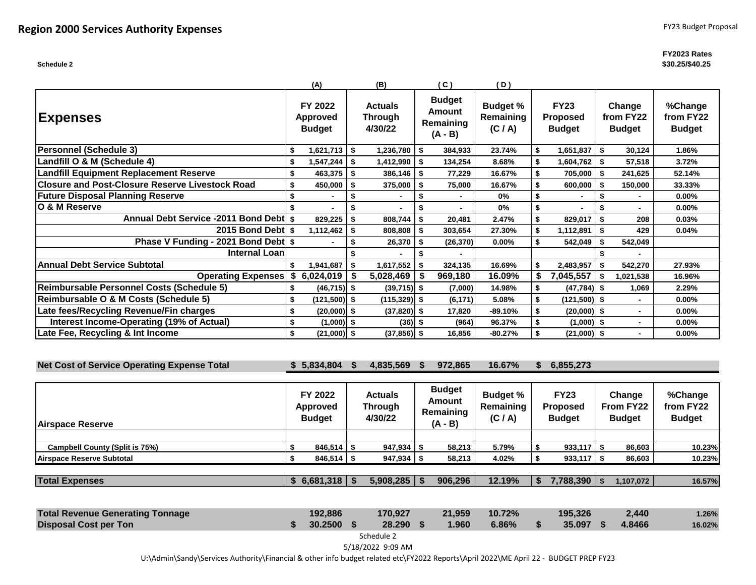#### **FY2023 Rates \$30.25/\$40.25**

|                                                        | (A)                                         | (B)                                  |      | (C)                                               | (D)                                     |     |                                                 |      |                                      |                                       |
|--------------------------------------------------------|---------------------------------------------|--------------------------------------|------|---------------------------------------------------|-----------------------------------------|-----|-------------------------------------------------|------|--------------------------------------|---------------------------------------|
| <b>Expenses</b>                                        | FY 2022<br><b>Approved</b><br><b>Budget</b> | <b>Actuals</b><br>Through<br>4/30/22 |      | <b>Budget</b><br>Amount<br>Remaining<br>$(A - B)$ | <b>Budget %</b><br>Remaining<br>(C / A) |     | <b>FY23</b><br><b>Proposed</b><br><b>Budget</b> |      | Change<br>from FY22<br><b>Budget</b> | %Change<br>from FY22<br><b>Budget</b> |
| Personnel (Schedule 3)                                 | \$<br>1,621,713                             | \$<br>$1,236,780$ \$                 |      | 384,933                                           | 23.74%                                  | \$  | 1,651,837                                       | \$   | 30,124                               | 1.86%                                 |
| Landfill O & M (Schedule 4)                            | 1,547,244                                   | \$<br>1,412,990                      | - \$ | 134,254                                           | 8.68%                                   |     | 1,604,762                                       | - \$ | 57,518                               | 3.72%                                 |
| <b>Landfill Equipment Replacement Reserve</b>          | 463,375                                     | \$<br>386,146                        | \$   | 77,229                                            | 16.67%                                  |     | 705,000                                         |      | 241,625                              | 52.14%                                |
| <b>Closure and Post-Closure Reserve Livestock Road</b> | \$<br>450,000                               | \$<br>375,000                        | Ŝ.   | 75,000                                            | 16.67%                                  |     | 600,000                                         |      | 150,000                              | 33.33%                                |
| <b>Future Disposal Planning Reserve</b>                |                                             | \$                                   | \$   |                                                   | $0\%$                                   | \$  |                                                 | Ŝ.   | $\blacksquare$                       | $0.00\%$                              |
| IO & M Reserve                                         | $\blacksquare$                              | \$                                   | \$   | $\blacksquare$                                    | $0\%$                                   | \$  |                                                 |      | $\blacksquare$                       | 0.00%                                 |
| Annual Debt Service -2011 Bond Debt \$                 | 829,225                                     | \$<br>808,744                        | \$   | 20.481                                            | 2.47%                                   | \$  | 829,017                                         | \$   | 208                                  | 0.03%                                 |
| 2015 Bond Debtl s                                      | 1,112,462                                   | \$<br>808,808                        | \$   | 303,654                                           | 27.30%                                  |     | 1,112,891                                       | \$   | 429                                  | 0.04%                                 |
| Phase V Funding - 2021 Bond Debt \$                    | $\blacksquare$                              | \$<br>26,370                         | \$   | (26, 370)                                         | 0.00%                                   |     | 542,049                                         |      | 542,049                              |                                       |
| <b>Internal Loan</b>                                   |                                             |                                      |      |                                                   |                                         |     |                                                 |      |                                      |                                       |
| <b>Annual Debt Service Subtotal</b>                    | 1,941,687                                   | \$<br>1,617,552                      | \$   | 324,135                                           | 16.69%                                  | \$  | 2,483,957                                       | \$   | 542,270                              | 27.93%                                |
| <b>Operating Expenses</b>                              | \$6,024,019                                 | 5,028,469                            | \$   | 969,180                                           | 16.09%                                  | \$. | 7,045,557                                       |      | 1,021,538                            | 16.96%                                |
| Reimbursable Personnel Costs (Schedule 5)              | $(46, 715)$ \$                              | $(39,715)$ \$                        |      | (7,000)                                           | 14.98%                                  |     | $(47, 784)$ \$                                  |      | 1.069                                | 2.29%                                 |
| Reimbursable O & M Costs (Schedule 5)                  | \$<br>$(121,500)$ \$                        | $(115, 329)$ \$                      |      | (6, 171)                                          | 5.08%                                   |     | $(121,500)$ \$                                  |      | $\blacksquare$                       | 0.00%                                 |
| Late fees/Recycling Revenue/Fin charges                | \$<br>$(20,000)$ \$                         | $(37,820)$ \$                        |      | 17,820                                            | $-89.10%$                               |     | $(20,000)$ \$                                   |      | $\blacksquare$                       | $0.00\%$                              |
| Interest Income-Operating (19% of Actual)              | \$<br>$(1,000)$ \$                          | $(36)$ \$                            |      | (964)                                             | 96.37%                                  |     | $(1,000)$ \$                                    |      | $\blacksquare$                       | 0.00%                                 |
| Late Fee, Recycling & Int Income                       | \$<br>$(21,000)$ \$                         | $(37, 856)$ \$                       |      | 16.856                                            | $-80.27%$                               |     | $(21,000)$ \$                                   |      | $\blacksquare$                       | 0.00%                                 |

**Net Cost of Service Operating Expense Total \$ 5,834,804 \$ 4,835,569 \$ 972,865 16.67% \$ 6,855,273**

| <b>Airspace Reserve</b>               | FY 2022<br>Approved<br><b>Budget</b> | <b>Actuals</b><br>Through<br>4/30/22 | <b>Budget</b><br>Amount<br>Remaining<br>$(A - B)$ | <b>Budget %</b><br>Remaining<br>(C / A) | <b>FY23</b><br><b>Proposed</b><br><b>Budget</b> | Change<br>From FY22<br><b>Budget</b> | %Change<br>from FY22<br><b>Budget</b> |
|---------------------------------------|--------------------------------------|--------------------------------------|---------------------------------------------------|-----------------------------------------|-------------------------------------------------|--------------------------------------|---------------------------------------|
|                                       |                                      |                                      |                                                   |                                         |                                                 |                                      |                                       |
| <b>Campbell County (Split is 75%)</b> | $846.514$ \ \$                       | $947.934$ \ \$                       | 58.213                                            | 5.79%                                   | $933.117$ S                                     | 86.603                               | 10.23%                                |
| Airspace Reserve Subtotal             | $846,514$ \$                         | $947,934$ \$                         | 58,213                                            | 4.02%                                   | $933,117$ $\sqrt{5}$                            | 86,603                               | 10.23%                                |
|                                       |                                      |                                      |                                                   |                                         |                                                 |                                      |                                       |
| <b>Total Expenses</b>                 | $6,681,318$   \$                     | 5,908,285                            | 906,296                                           | 12.19%                                  | 7,788,390                                       | 1,107,072                            | 16.57%                                |

| <b>Total Revenue Generating Tonnage</b> | 192.886    | 170.927   | 21.959 | $-10.72%$ | 195.326   | 2.440  | 1.26%  |
|-----------------------------------------|------------|-----------|--------|-----------|-----------|--------|--------|
| <b>Disposal Cost per Ton</b>            | 30.2500 \$ | 28.290 \$ | 1.960  | $6.86\%$  | 35.097 \$ | 4.8466 | 16.02% |

Schedule 2

5/18/2022 9:09 AM

U:\Admin\Sandy\Services Authority\Financial & other info budget related etc\FY2022 Reports\April 2022\ME April 22 - BUDGET PREP FY23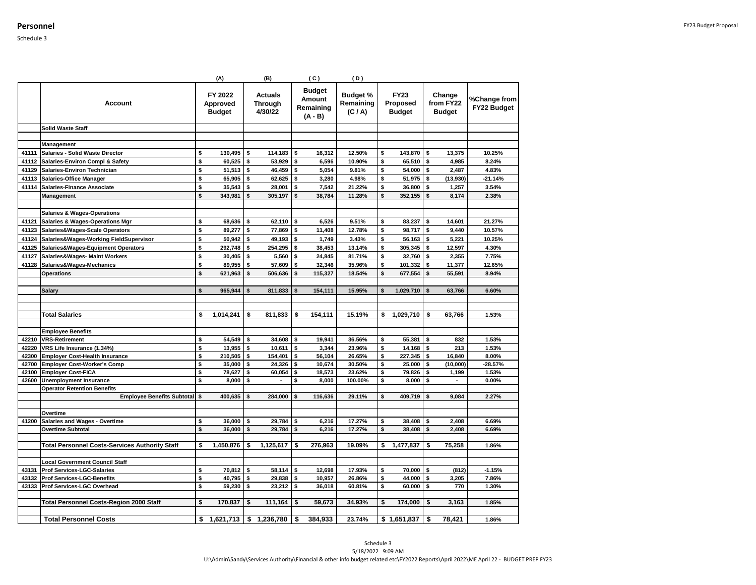|                |                                                                     |          | (A)                                  |          | (B)                                         |          | (C)                                             | (D)                                     |          |                                          |          |                                      |                             |
|----------------|---------------------------------------------------------------------|----------|--------------------------------------|----------|---------------------------------------------|----------|-------------------------------------------------|-----------------------------------------|----------|------------------------------------------|----------|--------------------------------------|-----------------------------|
|                | Account                                                             |          | FY 2022<br>Approved<br><b>Budget</b> |          | <b>Actuals</b><br><b>Through</b><br>4/30/22 |          | <b>Budget</b><br>Amount<br>Remaining<br>(A - B) | <b>Budget %</b><br>Remaining<br>(C / A) |          | <b>FY23</b><br>Proposed<br><b>Budget</b> |          | Change<br>from FY22<br><b>Budget</b> | %Change from<br>FY22 Budget |
|                | <b>Solid Waste Staff</b>                                            |          |                                      |          |                                             |          |                                                 |                                         |          |                                          |          |                                      |                             |
|                |                                                                     |          |                                      |          |                                             |          |                                                 |                                         |          |                                          |          |                                      |                             |
|                | Management                                                          |          |                                      |          |                                             |          |                                                 |                                         |          |                                          |          |                                      |                             |
| 41111          | Salaries - Solid Waste Director                                     | \$       | 130,495                              | \$       | 114,183                                     | \$       | 16,312                                          | 12.50%                                  | \$       | 143,870                                  | \$       | 13,375                               | 10.25%                      |
| 41112          | Salaries-Environ Compl & Safety                                     | \$       | 60,525                               | \$       | 53,929                                      | \$       | 6,596                                           | 10.90%                                  | \$       | 65,510                                   | <b>s</b> | 4,985                                | 8.24%                       |
| 41129          | Salaries-Environ Technician                                         | \$       | 51,513                               | \$       | 46,459                                      | \$       | 5,054                                           | 9.81%                                   | \$       | 54,000                                   | \$       | 2,487                                | 4.83%                       |
| 41113          | <b>Salaries-Office Manager</b>                                      | \$       | 65,905                               | \$       | 62,625                                      | \$       | 3,280                                           | 4.98%                                   | \$       | 51,975                                   | \$       | (13,930)                             | $-21.14%$                   |
| 41114          | Salaries-Finance Associate                                          | \$       | 35,543                               | \$       | 28,001                                      | \$       | 7,542                                           | 21.22%                                  | \$       | 36,800                                   | \$       | 1,257                                | 3.54%                       |
|                | Management                                                          | \$       | 343,981                              | \$       | 305,197                                     | \$       | 38,784                                          | 11.28%                                  | \$       | 352,155                                  | \$       | 8,174                                | 2.38%                       |
|                |                                                                     |          |                                      |          |                                             |          |                                                 |                                         |          |                                          |          |                                      |                             |
|                | <b>Salaries &amp; Wages-Operations</b>                              |          |                                      |          |                                             |          |                                                 |                                         |          |                                          |          |                                      |                             |
| 41121          | <b>Salaries &amp; Wages-Operations Mgr</b>                          | \$       | 68,636                               | \$       | 62,110                                      | \$       | 6,526                                           | 9.51%                                   | \$       | 83,237                                   | \$       | 14,601                               | 21.27%                      |
| 41123          | Salaries&Wages-Scale Operators                                      | \$       | 89,277                               | \$       | 77,869                                      | \$       | 11,408                                          | 12.78%                                  | \$       | 98,717                                   | \$       | 9,440                                | 10.57%                      |
| 41124          | Salaries&Wages-Working FieldSupervisor                              | \$       | 50,942                               | \$       | 49,193                                      | \$       | 1,749                                           | 3.43%                                   | \$       | 56,163                                   | \$       | 5,221                                | 10.25%                      |
| 41125          | Salaries&Wages-Equipment Operators                                  | \$       | 292,748                              | \$       | 254,295                                     | \$       | 38,453                                          | 13.14%                                  | \$       | 305,345                                  | \$       | 12,597                               | 4.30%                       |
| 41127          | Salaries&Wages- Maint Workers                                       | \$       | 30,405                               | \$       | 5,560                                       | \$       | 24,845                                          | 81.71%                                  | \$       | 32,760                                   | Ŝ.       | 2,355                                | 7.75%                       |
| 41128          | Salaries&Wages-Mechanics                                            | \$       | 89,955                               | \$       | 57,609                                      | \$       | 32,346                                          | 35.96%                                  | \$       | 101,332                                  | \$       | 11,377                               | 12.65%                      |
|                | <b>Operations</b>                                                   | \$       | 621,963                              | \$       | 506,636                                     | \$       | 115,327                                         | 18.54%                                  | \$       | 677,554                                  | \$       | 55,591                               | 8.94%                       |
|                |                                                                     |          |                                      |          |                                             |          |                                                 |                                         |          |                                          |          |                                      |                             |
|                | <b>Salary</b>                                                       | \$       | 965,944                              | \$       | 811,833                                     | \$       | 154,111                                         | 15.95%                                  | \$       | 1,029,710                                | \$       | 63,766                               | 6.60%                       |
|                |                                                                     |          |                                      |          |                                             |          |                                                 |                                         |          |                                          |          |                                      |                             |
|                |                                                                     |          |                                      |          |                                             |          |                                                 |                                         |          |                                          |          |                                      |                             |
|                | <b>Total Salaries</b>                                               | \$       | 1,014,241                            | \$       | 811,833                                     | \$       | 154,111                                         | 15.19%                                  | \$       | 1,029,710                                | \$       | 63,766                               | 1.53%                       |
|                |                                                                     |          |                                      |          |                                             |          |                                                 |                                         |          |                                          |          |                                      |                             |
|                | <b>Employee Benefits</b>                                            |          |                                      |          |                                             |          |                                                 |                                         |          |                                          |          |                                      |                             |
| 42210          | <b>VRS-Retirement</b>                                               | \$       | 54,549                               | \$       | 34,608                                      | \$       | 19,941                                          | 36.56%                                  | \$       | 55,381                                   | \$       | 832                                  | 1.53%                       |
| 42220<br>42300 | VRS Life Insurance (1.34%)<br><b>Employer Cost-Health Insurance</b> | \$<br>\$ | 13,955<br>210,505                    | \$<br>\$ | 10,611<br>154,401                           | \$<br>\$ | 3,344<br>56,104                                 | 23.96%<br>26.65%                        | \$<br>\$ | 14,168<br>227,345                        | \$<br>\$ | 213<br>16,840                        | 1.53%<br>8.00%              |
| 42700          | <b>Employer Cost-Worker's Comp</b>                                  | \$       | 35,000                               | \$       | 24,326                                      | \$       | 10,674                                          | 30.50%                                  | \$       | 25,000                                   | s.       | (10,000)                             | $-28.57%$                   |
| 42100          | <b>Employer Cost-FICA</b>                                           | \$       | 78,627                               | \$       | 60,054                                      | \$       | 18,573                                          | 23.62%                                  | \$       | 79,826                                   | \$       | 1,199                                | 1.53%                       |
| 42600          | <b>Unemployment Insurance</b>                                       | \$       | 8,000                                | \$       |                                             | \$       | 8,000                                           | 100.00%                                 | \$       | 8,000                                    | \$       |                                      | 0.00%                       |
|                | <b>Operator Retention Benefits</b>                                  |          |                                      |          |                                             |          |                                                 |                                         |          |                                          |          |                                      |                             |
|                | <b>Employee Benefits Subtotal \$</b>                                |          | 400,635                              | \$       | 284,000                                     | \$       | 116,636                                         | 29.11%                                  | \$       | 409,719                                  | \$       | 9,084                                | 2.27%                       |
|                |                                                                     |          |                                      |          |                                             |          |                                                 |                                         |          |                                          |          |                                      |                             |
|                | Overtime                                                            |          |                                      |          |                                             |          |                                                 |                                         |          |                                          |          |                                      |                             |
| 41200          | <b>Salaries and Wages - Overtime</b>                                | \$       | 36,000                               | \$       | 29,784                                      | \$       | 6,216                                           | 17.27%                                  | \$       | 38,408                                   | \$       | 2,408                                | 6.69%                       |
|                | <b>Overtime Subtotal</b>                                            | \$       | 36,000                               | \$       | 29,784                                      | \$       | 6,216                                           | 17.27%                                  | \$       | 38.408                                   | \$       | 2.408                                | 6.69%                       |
|                |                                                                     |          |                                      |          |                                             |          |                                                 |                                         |          |                                          |          |                                      |                             |
|                | <b>Total Personnel Costs-Services Authority Staff</b>               | \$       | 1,450,876                            | \$       | 1,125,617                                   | \$       | 276,963                                         | 19.09%                                  | \$       | 1,477,837                                | \$       | 75,258                               | 1.86%                       |
|                |                                                                     |          |                                      |          |                                             |          |                                                 |                                         |          |                                          |          |                                      |                             |
|                | <b>Local Government Council Staff</b>                               |          |                                      |          |                                             |          |                                                 |                                         |          |                                          |          |                                      |                             |
| 43131          | <b>Prof Services-LGC-Salaries</b>                                   | \$       | 70,812                               | \$       | 58,114                                      | \$       | 12,698                                          | 17.93%                                  | \$       | 70,000                                   | \$       | (812)                                | $-1.15%$                    |
| 43132          | <b>Prof Services-LGC-Benefits</b>                                   | \$       | 40,795                               | \$       | 29,838                                      | \$       | 10,957                                          | 26.86%                                  | \$       | 44,000                                   | \$       | 3,205                                | 7.86%                       |
| 43133          | Prof Services-LGC Overhead                                          | \$       | 59,230                               | \$       | 23,212                                      | \$       | 36,018                                          | 60.81%                                  | \$       | 60,000                                   | \$       | 770                                  | 1.30%                       |
|                | <b>Total Personnel Costs-Region 2000 Staff</b>                      | \$       | 170,837                              | \$       | 111,164                                     | \$       | 59.673                                          | 34.93%                                  | \$       | 174,000                                  | \$       | 3,163                                | 1.85%                       |
|                |                                                                     |          |                                      |          |                                             |          |                                                 |                                         |          |                                          |          |                                      |                             |
|                | <b>Total Personnel Costs</b>                                        | \$       | 1,621,713                            | \$       | 1.236.780                                   | \$       | 384.933                                         | 23.74%                                  |          | \$1,651,837                              | \$       | 78.421                               | 1.86%                       |
|                |                                                                     |          |                                      |          |                                             |          |                                                 |                                         |          |                                          |          |                                      |                             |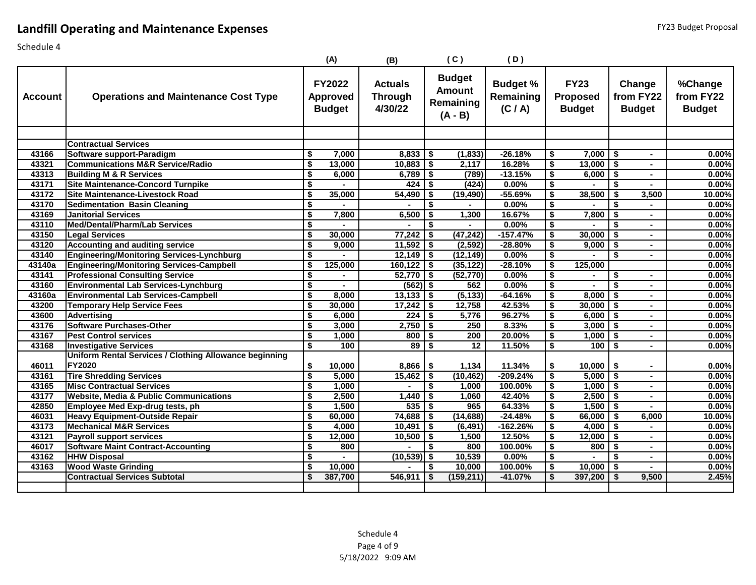## **Landfill Operating and Maintenance Expenses**

|                |                                                        |                                        | (A)                                               | (B)                                         |     | (C)                                                      | (D)                                     |                                      |                                                 |            |                                      |                                       |
|----------------|--------------------------------------------------------|----------------------------------------|---------------------------------------------------|---------------------------------------------|-----|----------------------------------------------------------|-----------------------------------------|--------------------------------------|-------------------------------------------------|------------|--------------------------------------|---------------------------------------|
| <b>Account</b> | <b>Operations and Maintenance Cost Type</b>            |                                        | <b>FY2022</b><br><b>Approved</b><br><b>Budget</b> | <b>Actuals</b><br><b>Through</b><br>4/30/22 |     | <b>Budget</b><br><b>Amount</b><br>Remaining<br>$(A - B)$ | <b>Budget %</b><br>Remaining<br>(C / A) |                                      | <b>FY23</b><br><b>Proposed</b><br><b>Budget</b> |            | Change<br>from FY22<br><b>Budget</b> | %Change<br>from FY22<br><b>Budget</b> |
|                |                                                        |                                        |                                                   |                                             |     |                                                          |                                         |                                      |                                                 |            |                                      |                                       |
|                | <b>Contractual Services</b>                            |                                        |                                                   |                                             |     |                                                          |                                         |                                      |                                                 |            |                                      |                                       |
| 43166          | Software support-Paradigm                              | \$                                     | 7,000                                             | 8,833                                       | \$  | (1, 833)                                                 | $-26.18%$                               | \$                                   | $7,000$   \$                                    |            | $\blacksquare$                       | 0.00%                                 |
| 43321          | <b>Communications M&amp;R Service/Radio</b>            | $\overline{\mathbf{s}}$                | 13,000                                            | 10,883                                      | \$  | 2,117                                                    | 16.28%                                  | \$                                   | 13,000                                          | \$         | $\blacksquare$                       | 0.00%                                 |
| 43313          | <b>Building M &amp; R Services</b>                     | \$                                     | 6,000                                             | 6,789                                       | -\$ | (789)                                                    | $-13.15%$                               | \$                                   | $6,000$ \$                                      |            | $\blacksquare$                       | 0.00%                                 |
| 43171          | <b>Site Maintenance-Concord Turnpike</b>               | \$                                     |                                                   | 424                                         | \$  | (424)                                                    | $0.00\%$                                | \$                                   |                                                 | \$         | $\blacksquare$                       | 0.00%                                 |
| 43172          | <b>Site Maintenance-Livestock Road</b>                 | $\overline{\boldsymbol{\mathsf{s}}}$   | 35,000                                            | 54,490                                      | \$  | (19, 490)                                                | $-55.69%$                               | S,                                   | 38,500                                          | \$         | 3,500                                | 10.00%                                |
| 43170          | <b>Sedimentation Basin Cleaning</b>                    | \$                                     |                                                   |                                             | \$  |                                                          | $0.00\%$                                | \$                                   |                                                 | \$         | $\blacksquare$                       | 0.00%                                 |
| 43169          | <b>Janitorial Services</b>                             | $\overline{\bullet}$                   | 7,800                                             | 6,500                                       | \$  | 1,300                                                    | 16.67%                                  | \$                                   | 7,800                                           | \$         | $\blacksquare$                       | 0.00%                                 |
| 43110          | <b>Med/Dental/Pharm/Lab Services</b>                   | \$                                     |                                                   |                                             | \$  |                                                          | 0.00%                                   | $\overline{\$}$                      |                                                 | \$         | $\blacksquare$                       | 0.00%                                 |
| 43150          | <b>Legal Services</b>                                  | $\overline{\boldsymbol{\mathsf{s}}}$   | 30,000                                            | 77,242                                      | \$  | (47, 242)                                                | $-157.47%$                              | S,                                   | 30,000                                          | \$         | $\blacksquare$                       | 0.00%                                 |
| 43120          | <b>Accounting and auditing service</b>                 | $\overline{\bullet}$                   | 9,000                                             | 11,592                                      | -\$ | (2, 592)                                                 | $-28.80%$                               | $\overline{\boldsymbol{\mathsf{s}}}$ | 9,000                                           | -\$        | $\blacksquare$                       | 0.00%                                 |
| 43140          | <b>Engineering/Monitoring Services-Lynchburg</b>       | \$                                     | $\sim$                                            | $12,149$ \$                                 |     | (12, 149)                                                | 0.00%                                   | $\overline{\$}$                      | $\blacksquare$                                  | \$         | $\blacksquare$                       | 0.00%                                 |
| 43140a         | <b>Engineering/Monitoring Services-Campbell</b>        | $\overline{\boldsymbol{\mathsf{s}}}$   | 125,000                                           | 160,122                                     | \$  | (35, 122)                                                | $-28.10%$                               | $\overline{\$}$                      | 125,000                                         |            |                                      | 0.00%                                 |
| 43141          | <b>Professional Consulting Service</b>                 | $\overline{\boldsymbol{s}}$            | $\mathbf{r}$                                      | $52,770$ \$                                 |     | (52, 770)                                                | $0.00\%$                                | S,                                   | $\blacksquare$                                  | \$         | $\sim$                               | 0.00%                                 |
| 43160          | <b>Environmental Lab Services-Lynchburg</b>            | $\overline{\mathbf{s}}$                |                                                   | $(562)$ \$                                  |     | 562                                                      | 0.00%                                   | \$                                   |                                                 | \$         | $\blacksquare$                       | 0.00%                                 |
| 43160a         | <b>Environmental Lab Services-Campbell</b>             | \$                                     | 8,000                                             | 13,133                                      | -\$ | (5, 133)                                                 | $-64.16%$                               | \$                                   | 8,000                                           | $\sqrt{3}$ | $\sim$                               | 0.00%                                 |
| 43200          | <b>Temporary Help Service Fees</b>                     | $\overline{\boldsymbol{\mathfrak{s}}}$ | 30,000                                            | 17,242                                      | \$  | 12,758                                                   | 42.53%                                  | $\overline{\boldsymbol{\mathsf{s}}}$ | 30,000                                          | \$         | $\blacksquare$                       | 0.00%                                 |
| 43600          | <b>Advertising</b>                                     | \$                                     | 6,000                                             | 224                                         | -\$ | 5,776                                                    | 96.27%                                  | \$                                   | $6,000$   \$                                    |            | $\blacksquare$                       | 0.00%                                 |
| 43176          | <b>Software Purchases-Other</b>                        | \$                                     | 3,000                                             | 2,750                                       | \$  | 250                                                      | 8.33%                                   | \$                                   | $3,000$ \$                                      |            | $\blacksquare$                       | 0.00%                                 |
| 43167          | <b>Pest Control services</b>                           | $\overline{\bullet}$                   | 1,000                                             | 800                                         | \$  | 200                                                      | 20.00%                                  | \$                                   | $1,000$ \$                                      |            | $\blacksquare$                       | 0.00%                                 |
| 43168          | <b>Investigative Services</b>                          | $\overline{\boldsymbol{s}}$            | 100                                               | 89                                          | \$  | $\overline{12}$                                          | 11.50%                                  | \$                                   | $100$ \$                                        |            | $\blacksquare$                       | 0.00%                                 |
|                | Uniform Rental Services / Clothing Allowance beginning |                                        |                                                   |                                             |     |                                                          |                                         |                                      |                                                 |            |                                      |                                       |
| 46011          | FY2020                                                 | \$                                     | 10,000                                            | 8,866                                       | \$  | 1,134                                                    | 11.34%                                  | \$                                   | $10,000$   \$                                   |            | $\blacksquare$                       | 0.00%                                 |
| 43161          | <b>Tire Shredding Services</b>                         | $\overline{\boldsymbol{\mathsf{s}}}$   | 5,000                                             | 15,462                                      | \$  | (10, 462)                                                | $-209.24%$                              | $\overline{\boldsymbol{\mathsf{s}}}$ | $5,000$ \$                                      |            | $\blacksquare$                       | 0.00%                                 |
| 43165          | <b>Misc Contractual Services</b>                       | \$                                     | 1,000                                             |                                             | \$  | 1,000                                                    | 100.00%                                 | \$                                   | $1,000$ \$                                      |            | $\blacksquare$                       | 0.00%                                 |
| 43177          | <b>Website, Media &amp; Public Communications</b>      | $\overline{\boldsymbol{\mathsf{s}}}$   | 2,500                                             | 1,440                                       | \$  | 1,060                                                    | 42.40%                                  | $\overline{\$}$                      | 2,500                                           | \$         | $\blacksquare$                       | 0.00%                                 |
| 42850          | <b>Employee Med Exp-drug tests, ph</b>                 | \$                                     | 1,500                                             | 535                                         | -\$ | 965                                                      | 64.33%                                  | \$                                   | $1,500$ \$                                      |            | $\blacksquare$                       | 0.00%                                 |
| 46031          | <b>Heavy Equipment-Outside Repair</b>                  | $\overline{\boldsymbol{\mathsf{s}}}$   | 60,000                                            | 74,688                                      | \$  | (14, 688)                                                | $-24.48%$                               | \$                                   | 66,000                                          | \$         | 6,000                                | 10.00%                                |
| 43173          | <b>Mechanical M&amp;R Services</b>                     | $\overline{\boldsymbol{\mathsf{s}}}$   | 4,000                                             | 10,491                                      | -\$ | (6, 491)                                                 | $-162.26%$                              | $\overline{\$}$                      | $4,000$ \$                                      |            | $\blacksquare$                       | 0.00%                                 |
| 43121          | <b>Payroll support services</b>                        | $\overline{\boldsymbol{\mathfrak{s}}}$ | 12,000                                            | 10,500                                      | \$  | 1,500                                                    | 12.50%                                  | \$                                   | 12,000                                          | \$         | $\sim$                               | 0.00%                                 |
| 46017          | <b>Software Maint Contract-Accounting</b>              | $\overline{\boldsymbol{\mathsf{s}}}$   | 800                                               |                                             | \$  | 800                                                      | 100.00%                                 | S,                                   | 800                                             | ⊺\$        | $\blacksquare$                       | 0.00%                                 |
| 43162          | <b>HHW Disposal</b>                                    | \$                                     |                                                   | $(10, 539)$ \$                              |     | 10,539                                                   | $0.00\%$                                | \$                                   |                                                 | \$         | $\blacksquare$                       | 0.00%                                 |
| 43163          | <b>Wood Waste Grinding</b>                             | $\overline{\boldsymbol{\mathsf{s}}}$   | 10,000                                            |                                             | \$  | 10,000                                                   | 100.00%                                 | $\overline{\$}$                      | 10,000                                          | \$         | $\sim$                               | 0.00%                                 |
|                | <b>Contractual Services Subtotal</b>                   | \$                                     | 387,700                                           | 546,911                                     | -\$ | (159, 211)                                               | $-41.07%$                               | \$                                   | 397,200                                         | \$         | 9,500                                | 2.45%                                 |
|                |                                                        |                                        |                                                   |                                             |     |                                                          |                                         |                                      |                                                 |            |                                      |                                       |
|                |                                                        |                                        |                                                   |                                             |     |                                                          |                                         |                                      |                                                 |            |                                      |                                       |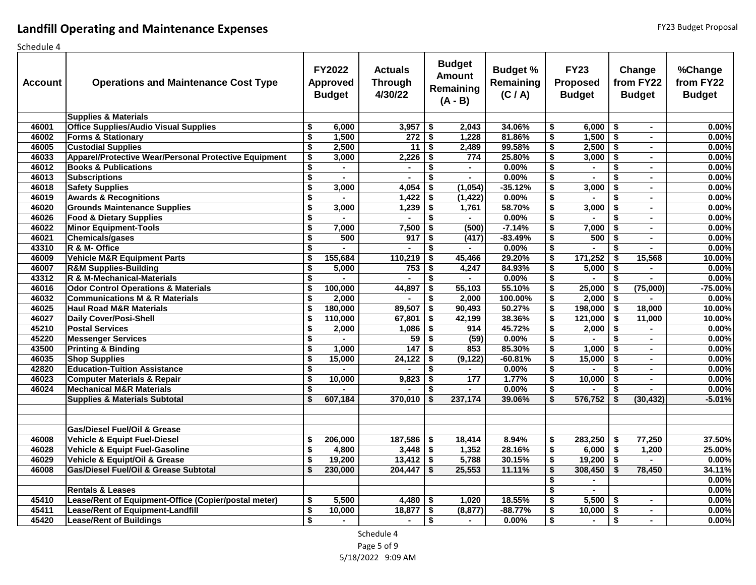| <b>Account</b> | <b>Operations and Maintenance Cost Type</b>           |                                      | <b>FY2022</b><br><b>Approved</b><br><b>Budget</b> | <b>Actuals</b><br><b>Through</b><br>4/30/22 |                                      | <b>Budget</b><br><b>Amount</b><br>Remaining<br>$(A - B)$ | <b>Budget %</b><br>Remaining<br>(C / A) |                                                                              | <b>FY23</b><br><b>Proposed</b><br><b>Budget</b> |                                      | Change<br>from FY22<br><b>Budget</b> | %Change<br>from FY22<br><b>Budget</b> |
|----------------|-------------------------------------------------------|--------------------------------------|---------------------------------------------------|---------------------------------------------|--------------------------------------|----------------------------------------------------------|-----------------------------------------|------------------------------------------------------------------------------|-------------------------------------------------|--------------------------------------|--------------------------------------|---------------------------------------|
|                | <b>Supplies &amp; Materials</b>                       |                                      |                                                   |                                             |                                      |                                                          |                                         |                                                                              |                                                 |                                      |                                      |                                       |
| 46001          | <b>Office Supplies/Audio Visual Supplies</b>          | \$                                   | 6,000                                             | $3,957$ \$                                  |                                      | 2,043                                                    | 34.06%                                  | \$                                                                           | 6,000                                           | \$                                   | $\sim$                               | 0.00%                                 |
| 46002          | <b>Forms &amp; Stationary</b>                         | \$                                   | 1,500                                             | 272                                         | $\overline{\boldsymbol{\mathsf{s}}}$ | 1,228                                                    | 81.86%                                  | $\overline{\boldsymbol{\mathsf{s}}}$                                         | 1,500                                           | s,                                   | $\sim$                               | 0.00%                                 |
| 46005          | <b>Custodial Supplies</b>                             | $\overline{\mathbf{s}}$              | 2,500                                             | 11                                          | $\overline{\bullet}$                 | 2,489                                                    | 99.58%                                  | $\overline{\boldsymbol{\mathsf{s}}}$                                         | 2,500                                           | $\overline{\mathbf{s}}$              | $\blacksquare$                       | 0.00%                                 |
| 46033          | Apparel/Protective Wear/Personal Protective Equipment | \$                                   | 3,000                                             | 2,226                                       | \$                                   | 774                                                      | 25.80%                                  | $\overline{\boldsymbol{\mathsf{s}}}$                                         | 3,000                                           | $\overline{\boldsymbol{\mathsf{s}}}$ | $\blacksquare$                       | 0.00%                                 |
| 46012          | <b>Books &amp; Publications</b>                       | $\overline{\$}$                      | $\blacksquare$                                    | $\blacksquare$                              | \$                                   | $\bullet$                                                | 0.00%                                   | \$                                                                           | $\blacksquare$                                  | $\overline{\boldsymbol{\mathsf{s}}}$ | $\blacksquare$                       | 0.00%                                 |
| 46013          | <b>Subscriptions</b>                                  | $\overline{\$}$                      | $\sim$                                            | $\blacksquare$                              | \$                                   | $\blacksquare$                                           | 0.00%                                   | $\overline{\boldsymbol{\mathsf{s}}}$                                         | $\sim$                                          | $\overline{\boldsymbol{\mathsf{s}}}$ | $\sim$                               | 0.00%                                 |
| 46018          | <b>Safety Supplies</b>                                | $\overline{\$}$                      | 3,000                                             | 4,054                                       | \$                                   | (1,054)                                                  | $-35.12%$                               | $\overline{\boldsymbol{\mathsf{s}}}$                                         | 3,000                                           | \$                                   | $\mathbf{r}$                         | 0.00%                                 |
| 46019          | <b>Awards &amp; Recognitions</b>                      | \$                                   | $\overline{a}$                                    | 1,422                                       | \$                                   | (1, 422)                                                 | 0.00%                                   | $\overline{\boldsymbol{\mathsf{s}}}$                                         |                                                 | \$                                   | $\blacksquare$                       | 0.00%                                 |
| 46020          | <b>Grounds Maintenance Supplies</b>                   | $\overline{\boldsymbol{\mathsf{s}}}$ | 3,000                                             | 1,239                                       | $\overline{\mathbf{s}}$              | 1,761                                                    | 58.70%                                  | $\overline{\$}$                                                              | 3,000                                           | $\overline{\mathbf{s}}$              | $\blacksquare$                       | 0.00%                                 |
| 46026          | <b>Food &amp; Dietary Supplies</b>                    | \$                                   |                                                   |                                             | \$                                   | $\blacksquare$                                           | 0.00%                                   | $\overline{\boldsymbol{\mathsf{s}}}$                                         |                                                 | \$                                   | $\blacksquare$                       | 0.00%                                 |
| 46022          | <b>Minor Equipment-Tools</b>                          | $\overline{\boldsymbol{\mathsf{s}}}$ | 7,000                                             | 7,500                                       | \$                                   | (500)                                                    | $-7.14%$                                | $\overline{\boldsymbol{\mathsf{s}}}$                                         | 7,000                                           | $\overline{\boldsymbol{\mathsf{s}}}$ | $\sim$                               | 0.00%                                 |
| 46021          | <b>Chemicals/gases</b>                                | $\overline{\mathsf{s}}$              | 500                                               | 917                                         | \$                                   | (417)                                                    | $-83.49%$                               | $\overline{\boldsymbol{\mathsf{s}}}$                                         | 500                                             | \$                                   | $\blacksquare$                       | 0.00%                                 |
| 43310          | R & M- Office                                         | $\overline{\$}$                      | $\blacksquare$                                    | $\blacksquare$                              | \$                                   | $\blacksquare$                                           | 0.00%                                   | $\overline{\boldsymbol{\mathsf{s}}}$                                         | $\blacksquare$                                  | \$                                   | $\blacksquare$                       | 0.00%                                 |
| 46009          | <b>Vehicle M&amp;R Equipment Parts</b>                | \$                                   | 155,684                                           | 110,219                                     | \$                                   | 45,466                                                   | 29.20%                                  | $\overline{\boldsymbol{\mathsf{s}}}$                                         | 171,252                                         | \$                                   | 15,568                               | 10.00%                                |
| 46007          | <b>R&amp;M Supplies-Building</b>                      | $\overline{\$}$                      | 5,000                                             | 753                                         | \$                                   | 4,247                                                    | 84.93%                                  | $\overline{\boldsymbol{\mathsf{s}}}$                                         | 5,000                                           | \$                                   |                                      | 0.00%                                 |
| 43312          | R & M-Mechanical-Materials                            | \$                                   |                                                   |                                             | \$                                   |                                                          | 0.00%                                   | \$                                                                           |                                                 | \$                                   |                                      | 0.00%                                 |
| 46016          | <b>Odor Control Operations &amp; Materials</b>        | \$                                   | 100,000                                           | 44,897                                      | $\overline{\boldsymbol{\mathsf{s}}}$ | 55,103                                                   | 55.10%                                  | $\overline{\boldsymbol{\mathsf{s}}}$                                         | 25,000                                          | $\overline{\boldsymbol{\mathsf{s}}}$ | (75,000)                             | $-75.00%$                             |
| 46032          | <b>Communications M &amp; R Materials</b>             | $\overline{\$}$                      | 2,000                                             |                                             | \$                                   | 2,000                                                    | 100.00%                                 | $\overline{\boldsymbol{\mathsf{s}}}$                                         | 2,000                                           | \$                                   |                                      | 0.00%                                 |
| 46025          | <b>Haul Road M&amp;R Materials</b>                    | \$                                   | 180,000                                           | 89,507                                      | \$                                   | 90,493                                                   | 50.27%                                  | $\overline{\boldsymbol{\mathsf{s}}}$                                         | 198,000                                         | \$                                   | 18,000                               | 10.00%                                |
| 46027          | <b>Daily Cover/Posi-Shell</b>                         | \$                                   | 110,000                                           | 67,801                                      | \$                                   | 42,199                                                   | 38.36%                                  | $\overline{\boldsymbol{\mathsf{s}}}$                                         | 121,000                                         | \$                                   | 11,000                               | 10.00%                                |
| 45210          | <b>Postal Services</b>                                | $\overline{\boldsymbol{\mathsf{s}}}$ | 2,000                                             | 1,086                                       | \$                                   | 914                                                      | 45.72%                                  | $\overline{\boldsymbol{\mathsf{s}}}$                                         | 2,000                                           | $\overline{\boldsymbol{\mathsf{s}}}$ |                                      | 0.00%                                 |
| 45220          | <b>Messenger Services</b>                             | $\overline{\boldsymbol{\mathsf{s}}}$ |                                                   | 59                                          | \$                                   | (59)                                                     | 0.00%                                   | $\overline{\boldsymbol{\mathsf{s}}}$                                         |                                                 | \$                                   | $\blacksquare$                       | 0.00%                                 |
| 43500          | <b>Printing &amp; Binding</b>                         | \$                                   | 1,000                                             | 147                                         | \$                                   | 853                                                      | 85.30%                                  | \$                                                                           | 1,000                                           | $\overline{\bullet}$                 | $\sim$                               | 0.00%                                 |
| 46035          | <b>Shop Supplies</b>                                  | $\overline{\boldsymbol{\mathsf{s}}}$ | 15,000                                            | 24,122                                      | $\overline{\bullet}$                 | (9, 122)                                                 | $-60.81%$                               | $\overline{\boldsymbol{\mathsf{s}}}$                                         | 15,000                                          | $\overline{\bullet}$                 | $\sim$                               | 0.00%                                 |
| 42820          | <b>Education-Tuition Assistance</b>                   | $\overline{\boldsymbol{\mathsf{s}}}$ | $\blacksquare$                                    |                                             | \$                                   | $\blacksquare$                                           | 0.00%                                   | $\overline{\boldsymbol{\mathsf{s}}}$                                         | $\sim$                                          | $\overline{\boldsymbol{s}}$          | $\sim$                               | 0.00%                                 |
| 46023          | <b>Computer Materials &amp; Repair</b>                | $\overline{\boldsymbol{\mathsf{s}}}$ | 10,000                                            | 9,823                                       | \$                                   | 177                                                      | 1.77%                                   | $\overline{\boldsymbol{\mathsf{s}}}$                                         | 10,000                                          | \$                                   | $\sim$                               | 0.00%                                 |
| 46024          | <b>Mechanical M&amp;R Materials</b>                   | $\overline{\$}$                      |                                                   |                                             | \$                                   | $\blacksquare$                                           | 0.00%                                   | $\overline{\boldsymbol{\mathsf{s}}}$                                         |                                                 | \$                                   | $\blacksquare$                       | 0.00%                                 |
|                | <b>Supplies &amp; Materials Subtotal</b>              | \$                                   | 607,184                                           | 370,010                                     | \$                                   | 237,174                                                  | 39.06%                                  | $\overline{\boldsymbol{\mathsf{s}}}$                                         | 576,752                                         | \$                                   | (30, 432)                            | $-5.01%$                              |
|                |                                                       |                                      |                                                   |                                             |                                      |                                                          |                                         |                                                                              |                                                 |                                      |                                      |                                       |
|                |                                                       |                                      |                                                   |                                             |                                      |                                                          |                                         |                                                                              |                                                 |                                      |                                      |                                       |
|                | <b>Gas/Diesel Fuel/Oil &amp; Grease</b>               |                                      |                                                   |                                             |                                      |                                                          |                                         |                                                                              |                                                 |                                      |                                      |                                       |
| 46008<br>46028 | <b>Vehicle &amp; Equipt Fuel-Diesel</b>               | \$                                   | 206,000                                           | $187,586$ \$                                |                                      | 18,414<br>1,352                                          | 8.94%<br>28.16%                         | \$                                                                           | 283,250                                         | \$                                   | 77,250                               | 37.50%                                |
| 46029          | Vehicle & Equipt Fuel-Gasoline                        | s,<br>$\overline{\mathbf{s}}$        | 4,800<br>19,200                                   |                                             |                                      | 5,788                                                    |                                         | $\overline{\boldsymbol{\mathsf{s}}}$                                         | 6,000                                           | \$                                   | 1,200                                | 25.00%                                |
| 46008          | Vehicle & Equipt/Oil & Grease                         |                                      |                                                   | 13,412                                      | $\sqrt{3}$                           |                                                          | 30.15%                                  | $\overline{\bullet}$                                                         | 19,200                                          | \$                                   |                                      | 0.00%                                 |
|                | <b>Gas/Diesel Fuel/Oil &amp; Grease Subtotal</b>      | \$                                   | 230,000                                           | 204,447                                     | \$                                   | 25,553                                                   | 11.11%                                  | \$                                                                           | 308,450                                         | \$                                   | 78,450                               | 34.11%                                |
|                | <b>Rentals &amp; Leases</b>                           |                                      |                                                   |                                             |                                      |                                                          |                                         | $\overline{\boldsymbol{\mathsf{s}}}$                                         | $\blacksquare$                                  |                                      |                                      | 0.00%                                 |
| 45410          | Lease/Rent of Equipment-Office (Copier/postal meter)  | \$                                   | 5,500                                             | 4,480                                       | \$                                   | 1,020                                                    | 18.55%                                  | $\overline{\boldsymbol{\mathsf{s}}}$<br>$\overline{\boldsymbol{\mathsf{s}}}$ | $\sim$<br>5,500                                 | \$                                   | $\sim$                               | 0.00%<br>0.00%                        |
| 45411          | Lease/Rent of Equipment-Landfill                      | $\overline{\boldsymbol{\mathsf{s}}}$ | 10,000                                            | 18,877                                      | \$                                   | (8, 877)                                                 | $-88.77%$                               | $\overline{\boldsymbol{\mathsf{s}}}$                                         | 10,000                                          |                                      | $\blacksquare$                       | 0.00%                                 |
| 45420          | <b>Lease/Rent of Buildings</b>                        | $\overline{\mathbf{s}}$              |                                                   |                                             | $\overline{\boldsymbol{\mathsf{s}}}$ |                                                          | 0.00%                                   | $\overline{\mathsf{s}}$                                                      |                                                 | \$<br>$\overline{\boldsymbol{s}}$    | $\blacksquare$                       | 0.00%                                 |
|                |                                                       |                                      |                                                   |                                             |                                      |                                                          |                                         |                                                                              |                                                 |                                      |                                      |                                       |

Schedule 4 Page 5 of 9 5/18/2022 9:09 AM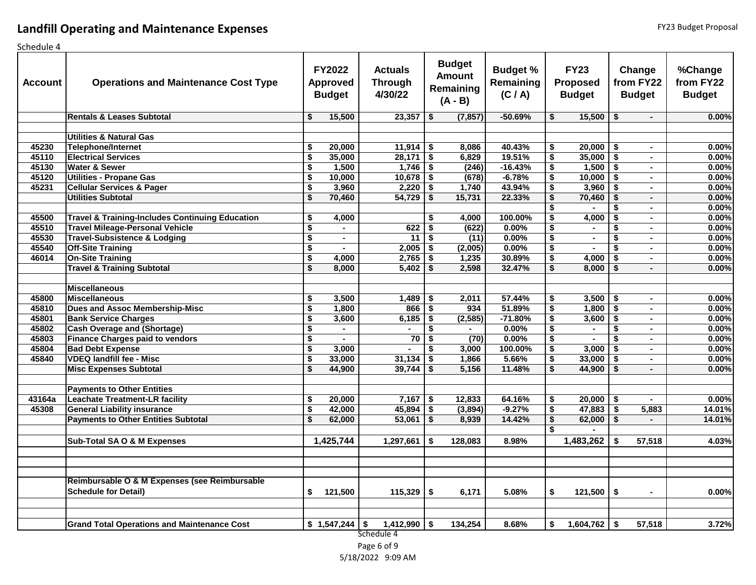## **Landfill Operating and Maintenance Expenses**

| scrieduic <del>4</del><br>Account | <b>Operations and Maintenance Cost Type</b>                |                                      | <b>FY2022</b><br><b>Approved</b><br><b>Budget</b> | <b>Actuals</b><br><b>Through</b><br>4/30/22 |      | <b>Budget</b><br><b>Amount</b><br>Remaining<br>$(A - B)$ | <b>Budget %</b><br>Remaining<br>(C / A) |                                      | <b>FY23</b><br><b>Proposed</b><br><b>Budget</b> |      | Change<br>from FY22<br><b>Budget</b> | %Change<br>from FY22<br><b>Budget</b> |
|-----------------------------------|------------------------------------------------------------|--------------------------------------|---------------------------------------------------|---------------------------------------------|------|----------------------------------------------------------|-----------------------------------------|--------------------------------------|-------------------------------------------------|------|--------------------------------------|---------------------------------------|
|                                   | <b>Rentals &amp; Leases Subtotal</b>                       | \$                                   | 15,500                                            | 23,357                                      | -\$  | (7, 857)                                                 | $-50.69%$                               | \$                                   | $15,500$ \$                                     |      | $\sim$                               | 0.00%                                 |
|                                   |                                                            |                                      |                                                   |                                             |      |                                                          |                                         |                                      |                                                 |      |                                      |                                       |
|                                   | <b>Utilities &amp; Natural Gas</b>                         |                                      |                                                   |                                             |      |                                                          |                                         |                                      |                                                 |      |                                      |                                       |
| 45230                             | Telephone/Internet                                         | \$                                   | 20,000                                            | $11,914$ \$                                 |      | 8,086                                                    | 40.43%                                  | \$                                   | $20,000$   \$                                   |      | $\sim$                               | 0.00%                                 |
| 45110                             | <b>Electrical Services</b>                                 | $\overline{\boldsymbol{\mathsf{s}}}$ | 35,000                                            | 28,171                                      | -\$  | 6,829                                                    | 19.51%                                  | \$                                   | $35,000$ \$                                     |      | $\blacksquare$                       | 0.00%                                 |
| 45130                             | <b>Water &amp; Sewer</b>                                   | $\overline{\boldsymbol{\mathsf{s}}}$ | 1,500                                             | $1,746$ \$                                  |      | (246)                                                    | $-16.43%$                               | \$                                   | $1,500$ \$                                      |      | $\blacksquare$                       | 0.00%                                 |
| 45120                             | <b>Utilities - Propane Gas</b>                             | $\overline{\boldsymbol{\mathsf{s}}}$ | 10,000                                            | $10,678$ \$                                 |      | (678)                                                    | $-6.78%$                                | \$                                   | $10,000$ \$                                     |      | $\blacksquare$                       | 0.00%                                 |
| 45231                             | <b>Cellular Services &amp; Pager</b>                       | $\overline{\boldsymbol{\mathsf{s}}}$ | 3,960                                             | $2,220$ \$                                  |      | 1,740                                                    | 43.94%                                  | \$                                   | $3,960$ \$                                      |      | $\blacksquare$                       | 0.00%                                 |
|                                   | <b>Utilities Subtotal</b>                                  | $\overline{\mathbf{s}}$              | 70,460                                            | 54,729                                      | -\$  | 15,731                                                   | 22.33%                                  | $\overline{\mathbf{s}}$              | 70,460                                          | -\$  | $\blacksquare$                       | 0.00%                                 |
|                                   |                                                            |                                      |                                                   |                                             |      |                                                          |                                         | \$                                   |                                                 | \$   | $\blacksquare$                       | 0.00%                                 |
| 45500                             | <b>Travel &amp; Training-Includes Continuing Education</b> | \$                                   | 4,000                                             |                                             | \$   | 4,000                                                    | 100.00%                                 | \$                                   | 4,000                                           | -\$  | $\blacksquare$                       | 0.00%                                 |
| 45510                             | <b>Travel Mileage-Personal Vehicle</b>                     | $\overline{\boldsymbol{\mathsf{s}}}$ | $\blacksquare$                                    | 622                                         | \$   | (622)                                                    | 0.00%                                   | $\overline{\boldsymbol{\mathsf{s}}}$ | $\blacksquare$                                  | \$   | $\blacksquare$                       | 0.00%                                 |
| 45530                             | <b>Travel-Subsistence &amp; Lodging</b>                    | $\overline{\boldsymbol{\mathsf{s}}}$ | $\sim$                                            | 11                                          | \$   | (11)                                                     | 0.00%                                   | \$                                   | $\blacksquare$                                  | \$   | $\blacksquare$                       | 0.00%                                 |
| 45540                             | <b>Off-Site Training</b>                                   | $\overline{\boldsymbol{\mathsf{s}}}$ | $\sim$                                            | 2,005                                       | l \$ | (2,005)                                                  | 0.00%                                   | $\overline{\$}$                      | $\blacksquare$                                  |      | $\sim$                               | 0.00%                                 |
| 46014                             | <b>On-Site Training</b>                                    | $\overline{\boldsymbol{\mathsf{s}}}$ | 4,000                                             | 2,765                                       | -\$  | 1,235                                                    | 30.89%                                  | \$                                   | 4,000                                           | -\$  | $\sim$                               | 0.00%                                 |
|                                   | <b>Travel &amp; Training Subtotal</b>                      | $\overline{\mathbf{s}}$              | 8,000                                             | 5,402                                       | -\$  | 2,598                                                    | 32.47%                                  | s,                                   | 8,000                                           | \$   | $\blacksquare$                       | 0.00%                                 |
|                                   |                                                            |                                      |                                                   |                                             |      |                                                          |                                         |                                      |                                                 |      |                                      |                                       |
|                                   | <b>Miscellaneous</b>                                       |                                      |                                                   |                                             |      |                                                          |                                         |                                      |                                                 |      |                                      |                                       |
| 45800                             | <b>Miscellaneous</b>                                       | \$                                   | 3,500                                             | 1,489                                       | l \$ | 2,011                                                    | 57.44%                                  | \$                                   | $3,500$ \$                                      |      | $\blacksquare$                       | 0.00%                                 |
| 45810                             | Dues and Assoc Membership-Misc                             | $\overline{\boldsymbol{\mathsf{s}}}$ | 1,800                                             | $866$ \$                                    |      | 934                                                      | 51.89%                                  | $\overline{\mathbf{s}}$              | $1,800$ \$                                      |      | $\blacksquare$                       | 0.00%                                 |
| 45801                             | <b>Bank Service Charges</b>                                | $\overline{\boldsymbol{\mathsf{s}}}$ | 3,600                                             | 6,185                                       | -\$  | (2, 585)                                                 | $-71.80%$                               | \$                                   | 3,600                                           | -\$  | $\blacksquare$                       | 0.00%                                 |
| 45802                             | <b>Cash Overage and (Shortage)</b>                         | $\overline{\boldsymbol{\mathsf{s}}}$ | $\blacksquare$                                    |                                             | \$   |                                                          | 0.00%                                   | $\overline{\boldsymbol{\mathsf{s}}}$ |                                                 | \$   | $\blacksquare$                       | 0.00%                                 |
| 45803                             | <b>Finance Charges paid to vendors</b>                     | $\overline{\boldsymbol{\mathsf{s}}}$ | $\blacksquare$                                    | 70                                          | \$   | (70)                                                     | 0.00%                                   | $\overline{\boldsymbol{\mathsf{s}}}$ | $\blacksquare$                                  | \$   | $\sim$                               | 0.00%                                 |
| 45804                             | <b>Bad Debt Expense</b>                                    | \$                                   | 3,000                                             |                                             | -\$  | 3,000                                                    | 100.00%                                 | \$                                   | 3,000                                           | l \$ | $\blacksquare$                       | 0.00%                                 |
| 45840                             | <b>VDEQ landfill fee - Misc</b>                            | $\overline{\boldsymbol{\mathsf{s}}}$ | 33,000                                            | 31,134                                      | \$   | 1,866                                                    | 5.66%                                   | $\overline{\$}$                      | $33,000$ \$                                     |      | $\blacksquare$                       | 0.00%                                 |
|                                   | <b>Misc Expenses Subtotal</b>                              | \$                                   | 44,900                                            | 39,744                                      | - \$ | 5,156                                                    | 11.48%                                  | \$                                   | $44,900$ \$                                     |      | $\blacksquare$                       | 0.00%                                 |
|                                   |                                                            |                                      |                                                   |                                             |      |                                                          |                                         |                                      |                                                 |      |                                      |                                       |
|                                   | <b>Payments to Other Entities</b>                          |                                      |                                                   |                                             |      |                                                          |                                         |                                      |                                                 |      |                                      |                                       |
| 43164a                            | <b>Leachate Treatment-LR facility</b>                      | \$                                   | 20,000                                            | 7,167                                       | -\$  | 12,833                                                   | 64.16%                                  | \$                                   | $20,000$   \$                                   |      | $\sim$                               | 0.00%                                 |
| 45308                             | <b>General Liability insurance</b>                         | $\overline{\boldsymbol{\mathsf{s}}}$ | 42,000                                            | 45,894                                      | -\$  | (3,894)                                                  | $-9.27%$                                | \$                                   | $47,883$ \$                                     |      | 5,883                                | 14.01%                                |
|                                   | <b>Payments to Other Entities Subtotal</b>                 | $\overline{\mathbf{s}}$              | 62,000                                            | 53,061                                      | -\$  | 8,939                                                    | 14.42%                                  | $\overline{\mathbf{s}}$              | $62,000$ \$                                     |      | $\sim$                               | 14.01%                                |
|                                   |                                                            |                                      |                                                   |                                             |      |                                                          |                                         | \$                                   |                                                 |      |                                      |                                       |
|                                   | Sub-Total SA O & M Expenses                                |                                      | 1,425,744                                         | 1,297,661                                   | \$   | 128,083                                                  | 8.98%                                   |                                      | $\overline{1,}483,262$                          | \$   | 57,518                               | 4.03%                                 |
|                                   |                                                            |                                      |                                                   |                                             |      |                                                          |                                         |                                      |                                                 |      |                                      |                                       |
|                                   |                                                            |                                      |                                                   |                                             |      |                                                          |                                         |                                      |                                                 |      |                                      |                                       |
|                                   |                                                            |                                      |                                                   |                                             |      |                                                          |                                         |                                      |                                                 |      |                                      |                                       |
|                                   | Reimbursable O & M Expenses (see Reimbursable              |                                      |                                                   |                                             |      |                                                          |                                         |                                      |                                                 |      |                                      |                                       |
|                                   | <b>Schedule for Detail)</b>                                | \$                                   | 121,500                                           | 115,329                                     | -\$  | 6,171                                                    | 5.08%                                   | \$                                   | $121,500$   \$                                  |      |                                      | 0.00%                                 |
|                                   |                                                            |                                      |                                                   |                                             |      |                                                          |                                         |                                      |                                                 |      |                                      |                                       |
|                                   |                                                            |                                      |                                                   |                                             |      |                                                          |                                         |                                      |                                                 |      |                                      |                                       |
|                                   | <b>Grand Total Operations and Maintenance Cost</b>         |                                      | $$1,547,244$ \\$                                  | 1,412,990                                   | \$   | 134,254                                                  | 8.68%                                   | \$                                   | $1,604,762$ \$                                  |      | 57,518                               | 3.72%                                 |
|                                   |                                                            |                                      |                                                   | Schedule 4                                  |      |                                                          |                                         |                                      |                                                 |      |                                      |                                       |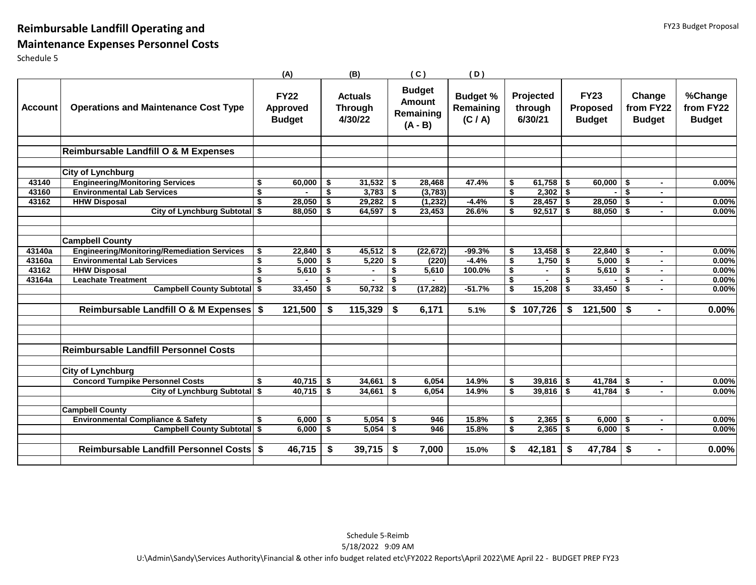## **Reimbursable Landfill Operating and**

## **Maintenance Expenses Personnel Costs**

|                |                                                    | (A)                                             |              | (B)                                         |      | (C)                                                      | (D)                                     |    |                                 |     |                                                 |              |                                      |                                       |
|----------------|----------------------------------------------------|-------------------------------------------------|--------------|---------------------------------------------|------|----------------------------------------------------------|-----------------------------------------|----|---------------------------------|-----|-------------------------------------------------|--------------|--------------------------------------|---------------------------------------|
| <b>Account</b> | <b>Operations and Maintenance Cost Type</b>        | <b>FY22</b><br><b>Approved</b><br><b>Budget</b> |              | <b>Actuals</b><br><b>Through</b><br>4/30/22 |      | <b>Budget</b><br><b>Amount</b><br>Remaining<br>$(A - B)$ | <b>Budget %</b><br>Remaining<br>(C / A) |    | Projected<br>through<br>6/30/21 |     | <b>FY23</b><br><b>Proposed</b><br><b>Budget</b> |              | Change<br>from FY22<br><b>Budget</b> | %Change<br>from FY22<br><b>Budget</b> |
|                | Reimbursable Landfill O & M Expenses               |                                                 |              |                                             |      |                                                          |                                         |    |                                 |     |                                                 |              |                                      |                                       |
|                |                                                    |                                                 |              |                                             |      |                                                          |                                         |    |                                 |     |                                                 |              |                                      |                                       |
|                | <b>City of Lynchburg</b>                           |                                                 |              |                                             |      |                                                          |                                         |    |                                 |     |                                                 |              |                                      |                                       |
| 43140          | <b>Engineering/Monitoring Services</b>             | \$<br>60,000                                    | \$           | 31,532                                      | -\$  | 28,468                                                   | 47.4%                                   | \$ | $61,758$ \$                     |     | $60,000$   \$                                   |              | $\blacksquare$                       | 0.00%                                 |
| 43160          | <b>Environmental Lab Services</b>                  | \$                                              | \$           | $3,783$ \$                                  |      | (3,783)                                                  |                                         | Ŝ. | $2,302$ \$                      |     |                                                 | $\mathbf{s}$ |                                      |                                       |
| 43162          | <b>HHW Disposal</b>                                | \$<br>28,050                                    | \$           | $29,282$ \$                                 |      | (1, 232)                                                 | $-4.4%$                                 | \$ | $28,457$ \$                     |     | $28,050$ \$                                     |              | $\blacksquare$                       | 0.00%                                 |
|                | City of Lynchburg Subtotal \$                      | 88,050                                          | \$           | 64,597                                      | \$   | 23,453                                                   | 26.6%                                   | \$ | $92,517$ \$                     |     | $88,050$ \$                                     |              |                                      | 0.00%                                 |
|                |                                                    |                                                 |              |                                             |      |                                                          |                                         |    |                                 |     |                                                 |              |                                      |                                       |
|                | <b>Campbell County</b>                             |                                                 |              |                                             |      |                                                          |                                         |    |                                 |     |                                                 |              |                                      |                                       |
| 43140a         | <b>Engineering/Monitoring/Remediation Services</b> | \$<br>22,840                                    | \$           | 45,512                                      | \$   | (22, 672)                                                | $-99.3%$                                | \$ | 13,458                          | -\$ | $22,840$ \$                                     |              | $\blacksquare$                       | 0.00%                                 |
| 43160a         | <b>Environmental Lab Services</b>                  | \$<br>5,000                                     | \$           | 5,220                                       | \$   | (220)                                                    | $-4.4%$                                 | \$ | 1,750                           | \$  | $5,000$ \$                                      |              | $\blacksquare$                       | 0.00%                                 |
| 43162          | <b>HHW Disposal</b>                                | \$<br>5,610                                     | - \$         |                                             | \$   | 5,610                                                    | 100.0%                                  | \$ |                                 | \$  | $5,610$ \$                                      |              |                                      | 0.00%                                 |
| 43164a         | <b>Leachate Treatment</b>                          | \$                                              | \$           | $\sim$                                      | \$   |                                                          |                                         | \$ | $\sim$                          | \$  |                                                 | \$           | $\sim$                               | 0.00%                                 |
|                | <b>Campbell County Subtotal \$</b>                 | 33,450                                          | \$           | 50,732                                      | \$   | (17, 282)                                                | $-51.7%$                                | Ŝ. | 15,208                          | \$  | $33,450$   \$                                   |              | $\sim$                               | 0.00%                                 |
|                | Reimbursable Landfill O & M Expenses \$            | 121,500                                         | \$           | 115,329                                     | Ŝ.   | 6,171                                                    | 5.1%                                    | \$ | 107,726                         | \$  | 121,500                                         | - \$         |                                      | 0.00%                                 |
|                |                                                    |                                                 |              |                                             |      |                                                          |                                         |    |                                 |     |                                                 |              |                                      |                                       |
|                | <b>Reimbursable Landfill Personnel Costs</b>       |                                                 |              |                                             |      |                                                          |                                         |    |                                 |     |                                                 |              |                                      |                                       |
|                | <b>City of Lynchburg</b>                           |                                                 |              |                                             |      |                                                          |                                         |    |                                 |     |                                                 |              |                                      |                                       |
|                | <b>Concord Turnpike Personnel Costs</b>            | \$<br>40,715                                    | <b>S</b>     | 34,661                                      | - \$ | 6,054                                                    | 14.9%                                   | \$ | $39,816$ \$                     |     | $41,784$ \$                                     |              | $\blacksquare$                       | 0.00%                                 |
|                | City of Lynchburg Subtotal \$                      | 40,715                                          | $\mathsf{I}$ | 34,661                                      | - \$ | 6.054                                                    | 14.9%                                   | \$ | $39,816$ \$                     |     | $41,784$ \$                                     |              | $\blacksquare$                       | 0.00%                                 |
|                |                                                    |                                                 |              |                                             |      |                                                          |                                         |    |                                 |     |                                                 |              |                                      |                                       |
|                | <b>Campbell County</b>                             |                                                 |              |                                             |      |                                                          |                                         |    |                                 |     |                                                 |              |                                      |                                       |
|                | <b>Environmental Compliance &amp; Safety</b>       | \$<br>6,000                                     | \$           | 5,054                                       | \$   | 946                                                      | 15.8%                                   | \$ | 2,365                           | -\$ | $6,000$ \$                                      |              |                                      | 0.00%                                 |
|                | <b>Campbell County Subtotal \$</b>                 | 6,000                                           | $\sqrt{3}$   | $5,054$ \$                                  |      | 946                                                      | 15.8%                                   | Ŝ. | $2,365$ \$                      |     | $6,000$ \$                                      |              | $\sim$                               | 0.00%                                 |
|                | Reimbursable Landfill Personnel Costs \$           | 46,715                                          | \$           | 39,715                                      | -\$  | 7,000                                                    | 15.0%                                   | \$ | 42,181                          | \$  | $47,784$ \ \$                                   |              |                                      | 0.00%                                 |
|                |                                                    |                                                 |              |                                             |      |                                                          |                                         |    |                                 |     |                                                 |              |                                      |                                       |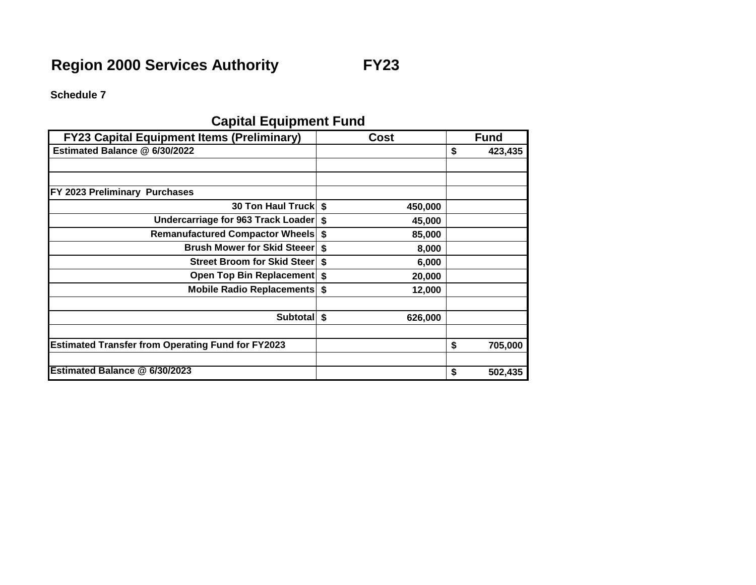**Schedule 7**

## **Capital Equipment Fund**

| <b>FY23 Capital Equipment Items (Preliminary)</b>        |    | Cost    | <b>Fund</b>   |
|----------------------------------------------------------|----|---------|---------------|
| Estimated Balance @ 6/30/2022                            |    |         | \$<br>423,435 |
|                                                          |    |         |               |
|                                                          |    |         |               |
| FY 2023 Preliminary Purchases                            |    |         |               |
| 30 Ton Haul Truck   \$                                   |    | 450,000 |               |
| Undercarriage for 963 Track Loader                       | Ŝ. | 45,000  |               |
| <b>Remanufactured Compactor Wheels</b>                   | \$ | 85,000  |               |
| <b>Brush Mower for Skid Steeer</b>                       | \$ | 8,000   |               |
| <b>Street Broom for Skid Steer</b>                       | \$ | 6,000   |               |
| Open Top Bin Replacement \$                              |    | 20,000  |               |
| <b>Mobile Radio Replacements \$</b>                      |    | 12,000  |               |
|                                                          |    |         |               |
| Subtotall                                                | \$ | 626,000 |               |
|                                                          |    |         |               |
| <b>Estimated Transfer from Operating Fund for FY2023</b> |    |         | \$<br>705,000 |
|                                                          |    |         |               |
| Estimated Balance @ 6/30/2023                            |    |         | \$<br>502,435 |